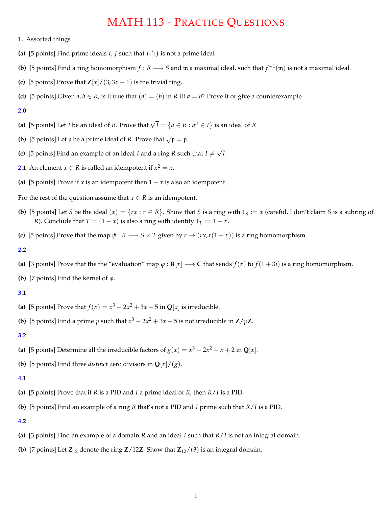# MATH 113 - PRACTICE QUESTIONS

- **1.** Assorted things
- (a) [5 points] Find prime ideals *I*, *J* such that  $I \cap J$  is not a prime ideal
- **(b)** [5 points] Find a ring homomorphism  $f : R \longrightarrow S$  and m a maximal ideal, such that  $f^{-1}(m)$  is not a maximal ideal.
- **(c)** [5 points] Prove that  $\mathbb{Z}[x]/(3, 3x 1)$  is the trivial ring.
- **(d)** [5 points] Given  $a, b \in R$ , is it true that  $(a) = (b)$  in R iff  $a = b$ ? Prove it or give a counterexample

#### **2.0**

- **(a)** [5 points] Let *I* be an ideal of *R*. Prove that  $\sqrt{I} = \{a \in R : a^n \in I\}$  is an ideal of *R*
- **(b)** [5 points] Let p be a prime ideal of *R*. Prove that  $\sqrt{p} = p$ .
- **(c)** [5 points] Find an example of an ideal *I* and a ring *R* such that  $I \neq \sqrt{I}$ .
- **2.1** An element  $x \in R$  is called an idempotent if  $x^2 = x$ .
- **(a)** [5 points] Prove if *x* is an idempotent then  $1 x$  is also an idempotent

For the rest of the question assume that  $x \in R$  is an idempotent.

- **(b)** [5 points] Let *S* be the ideal  $(x) = \{rx : r \in \mathbb{R}\}$ . Show that *S* is a ring with  $1_s := x$  (careful, I don't claim *S* is a subring of *R*). Conclude that  $T = (1 - x)$  is also a ring with identity  $1_T := 1 - x$ .
- **(c)** [5 points] Prove that the map  $\psi$  :  $R \rightarrow S \times T$  given by  $r \mapsto (rx, r(1-x))$  is a ring homomorphism.

## **2.2**

- (a) [3 points] Prove that the the "evaluation" map  $\varphi : \mathbf{R}[x] \longrightarrow \mathbf{C}$  that sends  $f(x)$  to  $f(1+3i)$  is a ring homomorphism.
- **(b)** [7 points] Find the kernel of  $\varphi$ .

# **3.1**

- (a) [5 points] Prove that  $f(x) = x^3 2x^2 + 3x + 5$  in **Q**[*x*] is irreducible.
- **(b)** [5 points] Find a prime *p* such that  $x^3 2x^2 + 3x + 5$  is not irreducible in **Z**/*p***Z**.

### **3.2**

- (a) [5 points] Determine all the irreducible factors of  $g(x) = x^3 2x^2 x + 2$  in **Q**[*x*].
- **(b)** [5 points] Find three *distinct* zero divisors in  $\mathbf{Q}[x]/(g)$ .

## **4.1**

- **(a)** [5 points] Prove that if *R* is a PID and *I* a prime ideal of *R*, then *R*/*I* is a PID.
- **(b)** [5 points] Find an example of a ring *R* that's not a PID and *I* prime such that *R*/*I* is a PID.

#### **4.2**

- **(a)** [3 points] Find an example of a domain *R* and an ideal *I* such that *R*/*I* is not an integral domain.
- **(b)** [7 points] Let  $\mathbb{Z}_{12}$  denote the ring  $\mathbb{Z}/12\mathbb{Z}$ . Show that  $\mathbb{Z}_{12}/(3)$  is an integral domain.